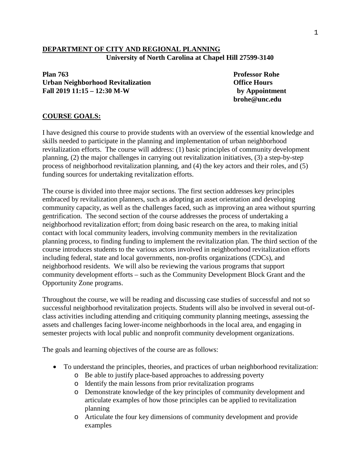## **DEPARTMENT OF CITY AND REGIONAL PLANNING University of North Carolina at Chapel Hill 27599-3140**

**Plan 763 Professor Rohe Urban Neighborhood Revitalization Office Hours Fall 2019 11:15 – 12:30 M-W by Appointment**

**brohe@unc.edu**

## **COURSE GOALS:**

I have designed this course to provide students with an overview of the essential knowledge and skills needed to participate in the planning and implementation of urban neighborhood revitalization efforts. The course will address: (1) basic principles of community development planning, (2) the major challenges in carrying out revitalization initiatives, (3) a step-by-step process of neighborhood revitalization planning, and (4) the key actors and their roles, and (5) funding sources for undertaking revitalization efforts.

The course is divided into three major sections. The first section addresses key principles embraced by revitalization planners, such as adopting an asset orientation and developing community capacity, as well as the challenges faced, such as improving an area without spurring gentrification. The second section of the course addresses the process of undertaking a neighborhood revitalization effort; from doing basic research on the area, to making initial contact with local community leaders, involving community members in the revitalization planning process, to finding funding to implement the revitalization plan. The third section of the course introduces students to the various actors involved in neighborhood revitalization efforts including federal, state and local governments, non-profits organizations (CDCs), and neighborhood residents. We will also be reviewing the various programs that support community development efforts – such as the Community Development Block Grant and the Opportunity Zone programs.

Throughout the course, we will be reading and discussing case studies of successful and not so successful neighborhood revitalization projects. Students will also be involved in several out-ofclass activities including attending and critiquing community planning meetings, assessing the assets and challenges facing lower-income neighborhoods in the local area, and engaging in semester projects with local public and nonprofit community development organizations.

The goals and learning objectives of the course are as follows:

- To understand the principles, theories, and practices of urban neighborhood revitalization:
	- o Be able to justify place-based approaches to addressing poverty
	- o Identify the main lessons from prior revitalization programs
	- o Demonstrate knowledge of the key principles of community development and articulate examples of how those principles can be applied to revitalization planning
	- o Articulate the four key dimensions of community development and provide examples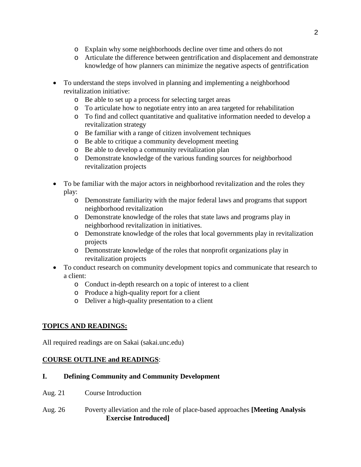- o Explain why some neighborhoods decline over time and others do not
- o Articulate the difference between gentrification and displacement and demonstrate knowledge of how planners can minimize the negative aspects of gentrification
- To understand the steps involved in planning and implementing a neighborhood revitalization initiative:
	- o Be able to set up a process for selecting target areas
	- o To articulate how to negotiate entry into an area targeted for rehabilitation
	- o To find and collect quantitative and qualitative information needed to develop a revitalization strategy
	- o Be familiar with a range of citizen involvement techniques
	- o Be able to critique a community development meeting
	- o Be able to develop a community revitalization plan
	- o Demonstrate knowledge of the various funding sources for neighborhood revitalization projects
- To be familiar with the major actors in neighborhood revitalization and the roles they play:
	- o Demonstrate familiarity with the major federal laws and programs that support neighborhood revitalization
	- o Demonstrate knowledge of the roles that state laws and programs play in neighborhood revitalization in initiatives.
	- o Demonstrate knowledge of the roles that local governments play in revitalization projects
	- o Demonstrate knowledge of the roles that nonprofit organizations play in revitalization projects
- To conduct research on community development topics and communicate that research to a client:
	- o Conduct in-depth research on a topic of interest to a client
	- o Produce a high-quality report for a client
	- o Deliver a high-quality presentation to a client

# **TOPICS AND READINGS:**

All required readings are on Sakai (sakai.unc.edu)

## **COURSE OUTLINE and READINGS**:

## **I. Defining Community and Community Development**

- Aug. 21 Course Introduction
- Aug. 26 Poverty alleviation and the role of place-based approaches **[Meeting Analysis Exercise Introduced]**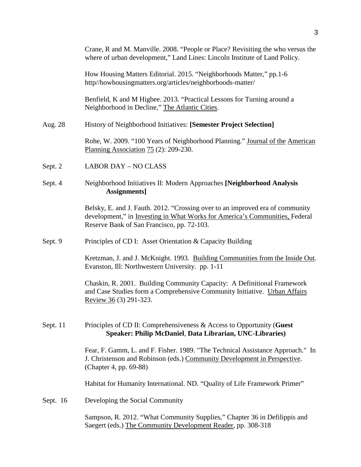|          | Crane, R and M. Manville. 2008. "People or Place? Revisiting the who versus the<br>where of urban development," Land Lines: Lincoln Institute of Land Policy.                                              |  |  |  |
|----------|------------------------------------------------------------------------------------------------------------------------------------------------------------------------------------------------------------|--|--|--|
|          | How Housing Matters Editorial. 2015. "Neighborhoods Matter," pp.1-6<br>http//howhousingmatters.org/articles/neighborhoods-matter/                                                                          |  |  |  |
|          | Benfield, K and M Higbee. 2013. "Practical Lessons for Turning around a<br>Neighborhood in Decline," The Atlantic Cities.                                                                                  |  |  |  |
| Aug. 28  | History of Neighborhood Initiatives: [Semester Project Selection]                                                                                                                                          |  |  |  |
|          | Rohe, W. 2009. "100 Years of Neighborhood Planning." Journal of the American<br>Planning Association 75 (2): 209-230.                                                                                      |  |  |  |
| Sept. 2  | <b>LABOR DAY - NO CLASS</b>                                                                                                                                                                                |  |  |  |
| Sept. 4  | Neighborhood Initiatives II: Modern Approaches [Neighborhood Analysis<br>Assignments]                                                                                                                      |  |  |  |
|          | Belsky, E. and J. Fauth. 2012. "Crossing over to an improved era of community<br>development," in Investing in What Works for America's Communities, Federal<br>Reserve Bank of San Francisco, pp. 72-103. |  |  |  |
| Sept. 9  | Principles of CD I: Asset Orientation & Capacity Building                                                                                                                                                  |  |  |  |
|          | Kretzman, J. and J. McKnight. 1993. Building Communities from the Inside Out.<br>Evanston, Ill: Northwestern University. pp. 1-11                                                                          |  |  |  |
|          | Chaskin, R. 2001. Building Community Capacity: A Definitional Framework<br>and Case Studies form a Comprehensive Community Initiative. Urban Affairs<br>Review 36 (3) 291-323.                             |  |  |  |
| Sept. 11 | Principles of CD II: Comprehensiveness $\&$ Access to Opportunity (Guest<br>Speaker: Philip McDaniel, Data Librarian, UNC-Libraries)                                                                       |  |  |  |
|          | Fear, F. Gamm, L. and F. Fisher. 1989. "The Technical Assistance Approach." In<br>J. Christenson and Robinson (eds.) Community Development in Perspective.<br>(Chapter 4, pp. 69-88)                       |  |  |  |
|          | Habitat for Humanity International. ND. "Quality of Life Framework Primer"                                                                                                                                 |  |  |  |
| Sept. 16 | Developing the Social Community                                                                                                                                                                            |  |  |  |
|          | Sampson, R. 2012. "What Community Supplies," Chapter 36 in Defilippis and<br>Saegert (eds.) The Community Development Reader, pp. 308-318                                                                  |  |  |  |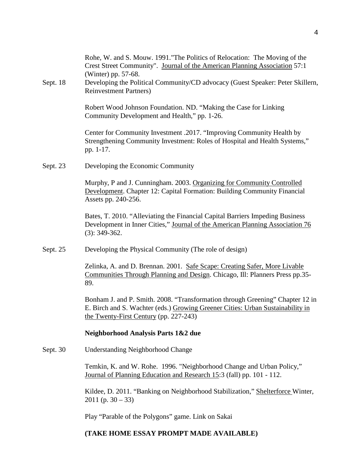|          | Rohe, W. and S. Mouw. 1991. "The Politics of Relocation: The Moving of the<br>Crest Street Community". Journal of the American Planning Association 57:1<br>(Winter) pp. 57-68.                           |
|----------|-----------------------------------------------------------------------------------------------------------------------------------------------------------------------------------------------------------|
| Sept. 18 | Developing the Political Community/CD advocacy (Guest Speaker: Peter Skillern,<br><b>Reinvestment Partners)</b>                                                                                           |
|          | Robert Wood Johnson Foundation. ND. "Making the Case for Linking<br>Community Development and Health," pp. 1-26.                                                                                          |
|          | Center for Community Investment .2017. "Improving Community Health by<br>Strengthening Community Investment: Roles of Hospital and Health Systems,"<br>pp. 1-17.                                          |
| Sept. 23 | Developing the Economic Community                                                                                                                                                                         |
|          | Murphy, P and J. Cunningham. 2003. Organizing for Community Controlled<br>Development. Chapter 12: Capital Formation: Building Community Financial<br>Assets pp. 240-256.                                 |
|          | Bates, T. 2010. "Alleviating the Financial Capital Barriers Impeding Business<br>Development in Inner Cities," Journal of the American Planning Association 76<br>$(3): 349-362.$                         |
| Sept. 25 | Developing the Physical Community (The role of design)                                                                                                                                                    |
|          | Zelinka, A. and D. Brennan. 2001. Safe Scape: Creating Safer, More Livable<br>Communities Through Planning and Design. Chicago, Ill: Planners Press pp.35-<br>89.                                         |
|          | Bonham J. and P. Smith. 2008. "Transformation through Greening" Chapter 12 in<br>E. Birch and S. Wachter (eds.) Growing Greener Cities: Urban Sustainability in<br>the Twenty-First Century (pp. 227-243) |
|          | Neighborhood Analysis Parts 1&2 due                                                                                                                                                                       |
| Sept. 30 | <b>Understanding Neighborhood Change</b>                                                                                                                                                                  |
|          | Temkin, K. and W. Rohe. 1996. "Neighborhood Change and Urban Policy,"<br>Journal of Planning Education and Research 15:3 (fall) pp. 101 - 112.                                                            |
|          | Kildee, D. 2011. "Banking on Neighborhood Stabilization," Shelterforce Winter,<br>$2011$ (p. 30 – 33)                                                                                                     |
|          | Play "Parable of the Polygons" game. Link on Sakai                                                                                                                                                        |
|          | (TAKE HOME ESSAY PROMPT MADE AVAILABLE)                                                                                                                                                                   |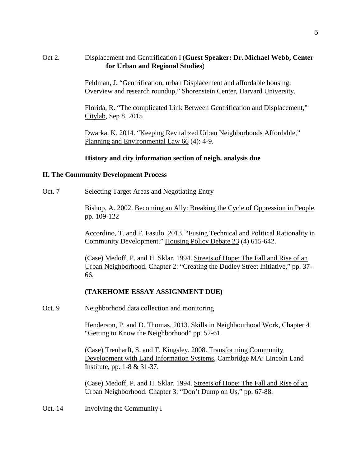## Oct 2. Displacement and Gentrification I (**Guest Speaker: Dr. Michael Webb, Center for Urban and Regional Studies**)

Feldman, J. "Gentrification, urban Displacement and affordable housing: Overview and research roundup," Shorenstein Center, Harvard University.

Florida, R. "The complicated Link Between Gentrification and Displacement," Citylab, Sep 8, 2015

Dwarka. K. 2014. "Keeping Revitalized Urban Neighborhoods Affordable," Planning and Environmental Law 66 (4): 4-9.

#### **History and city information section of neigh. analysis due**

#### **II. The Community Development Process**

Oct. 7 Selecting Target Areas and Negotiating Entry

Bishop, A. 2002. Becoming an Ally: Breaking the Cycle of Oppression in People, pp. 109-122

Accordino, T. and F. Fasulo. 2013. "Fusing Technical and Political Rationality in Community Development." Housing Policy Debate 23 (4) 615-642.

(Case) Medoff, P. and H. Sklar. 1994. Streets of Hope: The Fall and Rise of an Urban Neighborhood. Chapter 2: "Creating the Dudley Street Initiative," pp. 37- 66.

#### **(TAKEHOME ESSAY ASSIGNMENT DUE)**

Oct. 9 Neighborhood data collection and monitoring

Henderson, P. and D. Thomas. 2013. Skills in Neighbourhood Work, Chapter 4 "Getting to Know the Neighborhood" pp. 52-61

(Case) Treuharft, S. and T. Kingsley. 2008. Transforming Community Development with Land Information Systems, Cambridge MA: Lincoln Land Institute, pp. 1-8 & 31-37.

(Case) Medoff, P. and H. Sklar. 1994. Streets of Hope: The Fall and Rise of an Urban Neighborhood. Chapter 3: "Don't Dump on Us," pp. 67-88.

Oct. 14 Involving the Community I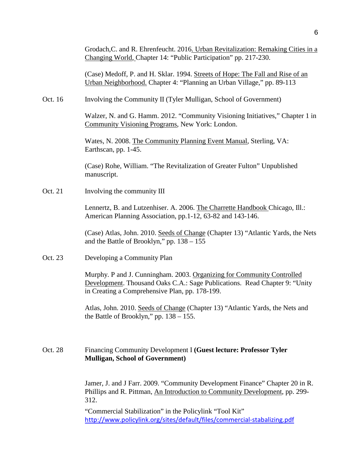(Case) Medoff, P. and H. Sklar. 1994. Streets of Hope: The Fall and Rise of an Urban Neighborhood. Chapter 4: "Planning an Urban Village," pp. 89-113

Oct. 16 Involving the Community II (Tyler Mulligan, School of Government)

Walzer, N. and G. Hamm. 2012. "Community Visioning Initiatives," Chapter 1 in Community Visioning Programs, New York: London.

Wates, N. 2008. The Community Planning Event Manual, Sterling, VA: Earthscan, pp. 1-45.

(Case) Rohe, William. "The Revitalization of Greater Fulton" Unpublished manuscript.

Oct. 21 Involving the community III

Lennertz, B. and Lutzenhiser. A. 2006. The Charrette Handbook Chicago, Ill.: American Planning Association, pp.1-12, 63-82 and 143-146.

(Case) Atlas, John. 2010. Seeds of Change (Chapter 13) "Atlantic Yards, the Nets and the Battle of Brooklyn," pp. 138 – 155

Oct. 23 Developing a Community Plan

Murphy. P and J. Cunningham. 2003. Organizing for Community Controlled Development. Thousand Oaks C.A.: Sage Publications. Read Chapter 9: "Unity in Creating a Comprehensive Plan, pp. 178-199.

Atlas, John. 2010. Seeds of Change (Chapter 13) "Atlantic Yards, the Nets and the Battle of Brooklyn," pp.  $138 - 155$ .

# Oct. 28 Financing Community Development I **(Guest lecture: Professor Tyler Mulligan, School of Government)**

Jamer, J. and J Farr. 2009. "Community Development Finance" Chapter 20 in R. Phillips and R. Pittman, An Introduction to Community Development, pp. 299- 312.

"Commercial Stabilization" in the Policylink "Tool Kit" <http://www.policylink.org/sites/default/files/commercial-stabalizing.pdf>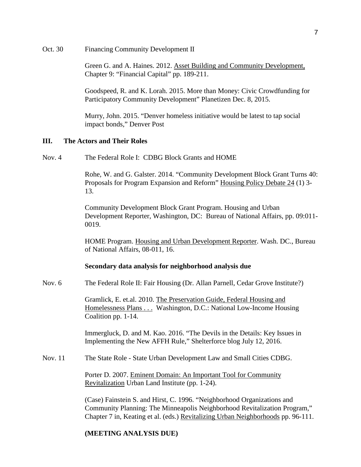Oct. 30 Financing Community Development II

Green G. and A. Haines. 2012. Asset Building and Community Development, Chapter 9: "Financial Capital" pp. 189-211.

Goodspeed, R. and K. Lorah. 2015. More than Money: Civic Crowdfunding for Participatory Community Development" Planetizen Dec. 8, 2015.

Murry, John. 2015. "Denver homeless initiative would be latest to tap social impact bonds," Denver Post

#### **III. The Actors and Their Roles**

Nov. 4 The Federal Role I: CDBG Block Grants and HOME

Rohe, W. and G. Galster. 2014. "Community Development Block Grant Turns 40: Proposals for Program Expansion and Reform" Housing Policy Debate 24 (1) 3- 13.

Community Development Block Grant Program. Housing and Urban Development Reporter, Washington, DC: Bureau of National Affairs, pp. 09:011- 0019.

HOME Program. Housing and Urban Development Reporter. Wash. DC., Bureau of National Affairs, 08-011, 16.

#### **Secondary data analysis for neighborhood analysis due**

Nov. 6 The Federal Role II: Fair Housing (Dr. Allan Parnell, Cedar Grove Institute?)

Gramlick, E. et.al. 2010. The Preservation Guide, Federal Housing and Homelessness Plans . . . Washington, D.C.: National Low-Income Housing Coalition pp. 1-14.

Immergluck, D. and M. Kao. 2016. "The Devils in the Details: Key Issues in Implementing the New AFFH Rule," Shelterforce blog July 12, 2016.

Nov. 11 The State Role - State Urban Development Law and Small Cities CDBG.

Porter D. 2007. Eminent Domain: An Important Tool for Community Revitalization Urban Land Institute (pp. 1-24).

(Case) Fainstein S. and Hirst, C. 1996. "Neighborhood Organizations and Community Planning: The Minneapolis Neighborhood Revitalization Program," Chapter 7 in, Keating et al. (eds.) Revitalizing Urban Neighborhoods pp. 96-111.

#### **(MEETING ANALYSIS DUE)**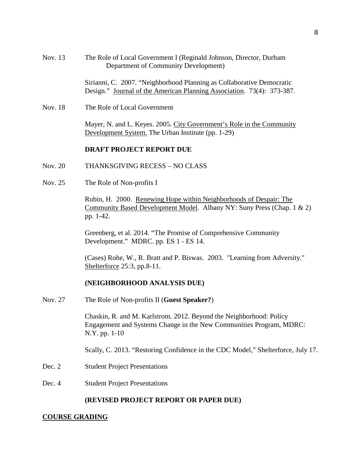| Nov. 13 | The Role of Local Government I (Reginald Johnson, Director, Durham |
|---------|--------------------------------------------------------------------|
|         | Department of Community Development)                               |

Sirianni, C. 2007. "Neighborhood Planning as Collaborative Democratic Design." Journal of the American Planning Association. 73(4): 373-387.

Nov. 18 The Role of Local Government

Mayer, N. and L. Keyes. 2005. City Government's Role in the Community Development System. The Urban Institute (pp. 1-29)

#### **DRAFT PROJECT REPORT DUE**

- Nov. 20 THANKSGIVING RECESS NO CLASS
- Nov. 25 The Role of Non-profits I

Rubin, H. 2000. Renewing Hope within Neighborhoods of Despair: The Community Based Development Model. Albany NY: Suny Press (Chap. 1 & 2) pp. 1-42.

Greenberg, et al. 2014. "The Promise of Comprehensive Community Development." MDRC. pp. ES 1 - ES 14.

(Cases) Rohe, W., R. Bratt and P. Biswas. 2003. "Learning from Adversity." Shelterforce 25:3, pp.8-11.

#### **(NEIGHBORHOOD ANALYSIS DUE)**

Nov. 27 The Role of Non-profits II (**Guest Speaker?**)

Chaskin, R. and M. Karlstrom. 2012. Beyond the Neighborhood: Policy Engagement and Systems Change in the New Communities Program, MDRC: N.Y. pp. 1-10

Scally, C. 2013. "Restoring Confidence in the CDC Model," Shelterforce, July 17.

- Dec. 2 Student Project Presentations
- Dec. 4 Student Project Presentations

#### **(REVISED PROJECT REPORT OR PAPER DUE)**

#### **COURSE GRADING**